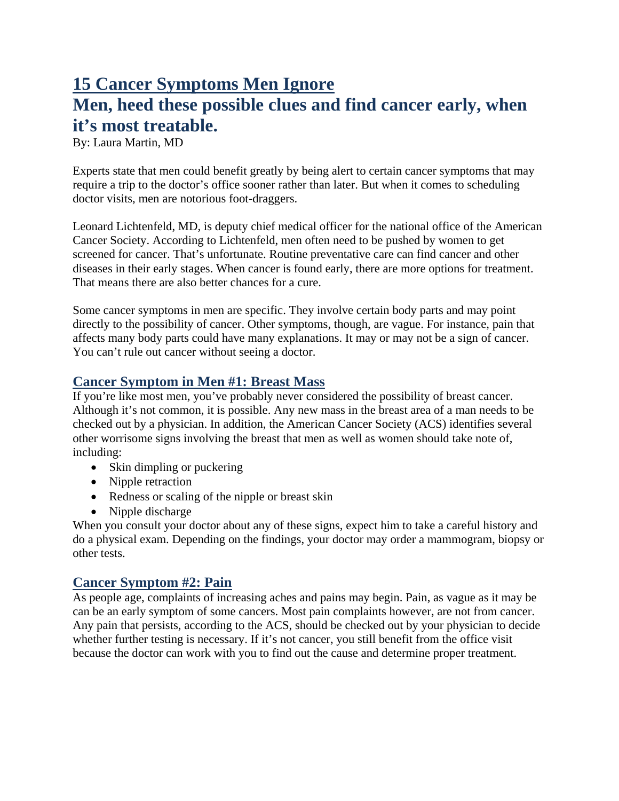# **15 Cancer Symptoms Men Ignore Men, heed these possible clues and find cancer early, when it's most treatable.**

By: Laura Martin, MD

Experts state that men could benefit greatly by being alert to certain cancer symptoms that may require a trip to the doctor's office sooner rather than later. But when it comes to scheduling doctor visits, men are notorious foot-draggers.

Leonard Lichtenfeld, MD, is deputy chief medical officer for the national office of the American Cancer Society. According to Lichtenfeld, men often need to be pushed by women to get screened for cancer. That's unfortunate. Routine preventative care can find cancer and other diseases in their early stages. When cancer is found early, there are more options for treatment. That means there are also better chances for a cure.

Some cancer symptoms in men are specific. They involve certain body parts and may point directly to the possibility of cancer. Other symptoms, though, are vague. For instance, pain that affects many body parts could have many explanations. It may or may not be a sign of cancer. You can't rule out cancer without seeing a doctor.

## **Cancer Symptom in Men #1: Breast Mass**

If you're like most men, you've probably never considered the possibility of breast cancer. Although it's not common, it is possible. Any new mass in the breast area of a man needs to be checked out by a physician. In addition, the American Cancer Society (ACS) identifies several other worrisome signs involving the breast that men as well as women should take note of, including:

- Skin dimpling or puckering
- Nipple retraction
- Redness or scaling of the nipple or breast skin
- Nipple discharge

When you consult your doctor about any of these signs, expect him to take a careful history and do a physical exam. Depending on the findings, your doctor may order a mammogram, biopsy or other tests.

## **Cancer Symptom #2: Pain**

As people age, complaints of increasing aches and pains may begin. Pain, as vague as it may be can be an early symptom of some cancers. Most pain complaints however, are not from cancer. Any pain that persists, according to the ACS, should be checked out by your physician to decide whether further testing is necessary. If it's not cancer, you still benefit from the office visit because the doctor can work with you to find out the cause and determine proper treatment.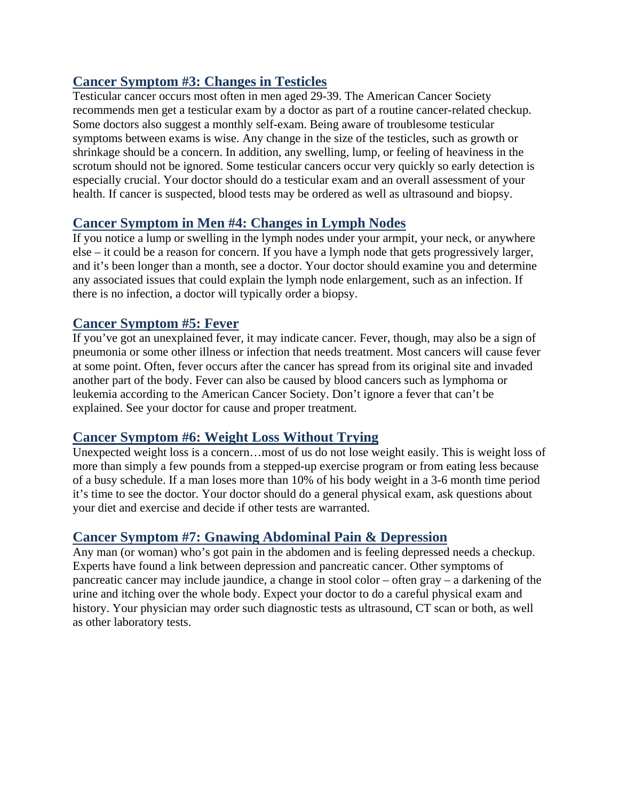# **Cancer Symptom #3: Changes in Testicles**

Testicular cancer occurs most often in men aged 29-39. The American Cancer Society recommends men get a testicular exam by a doctor as part of a routine cancer-related checkup. Some doctors also suggest a monthly self-exam. Being aware of troublesome testicular symptoms between exams is wise. Any change in the size of the testicles, such as growth or shrinkage should be a concern. In addition, any swelling, lump, or feeling of heaviness in the scrotum should not be ignored. Some testicular cancers occur very quickly so early detection is especially crucial. Your doctor should do a testicular exam and an overall assessment of your health. If cancer is suspected, blood tests may be ordered as well as ultrasound and biopsy.

## **Cancer Symptom in Men #4: Changes in Lymph Nodes**

If you notice a lump or swelling in the lymph nodes under your armpit, your neck, or anywhere else – it could be a reason for concern. If you have a lymph node that gets progressively larger, and it's been longer than a month, see a doctor. Your doctor should examine you and determine any associated issues that could explain the lymph node enlargement, such as an infection. If there is no infection, a doctor will typically order a biopsy.

## **Cancer Symptom #5: Fever**

If you've got an unexplained fever, it may indicate cancer. Fever, though, may also be a sign of pneumonia or some other illness or infection that needs treatment. Most cancers will cause fever at some point. Often, fever occurs after the cancer has spread from its original site and invaded another part of the body. Fever can also be caused by blood cancers such as lymphoma or leukemia according to the American Cancer Society. Don't ignore a fever that can't be explained. See your doctor for cause and proper treatment.

#### **Cancer Symptom #6: Weight Loss Without Trying**

Unexpected weight loss is a concern…most of us do not lose weight easily. This is weight loss of more than simply a few pounds from a stepped-up exercise program or from eating less because of a busy schedule. If a man loses more than 10% of his body weight in a 3-6 month time period it's time to see the doctor. Your doctor should do a general physical exam, ask questions about your diet and exercise and decide if other tests are warranted.

## **Cancer Symptom #7: Gnawing Abdominal Pain & Depression**

Any man (or woman) who's got pain in the abdomen and is feeling depressed needs a checkup. Experts have found a link between depression and pancreatic cancer. Other symptoms of pancreatic cancer may include jaundice, a change in stool color – often gray – a darkening of the urine and itching over the whole body. Expect your doctor to do a careful physical exam and history. Your physician may order such diagnostic tests as ultrasound, CT scan or both, as well as other laboratory tests.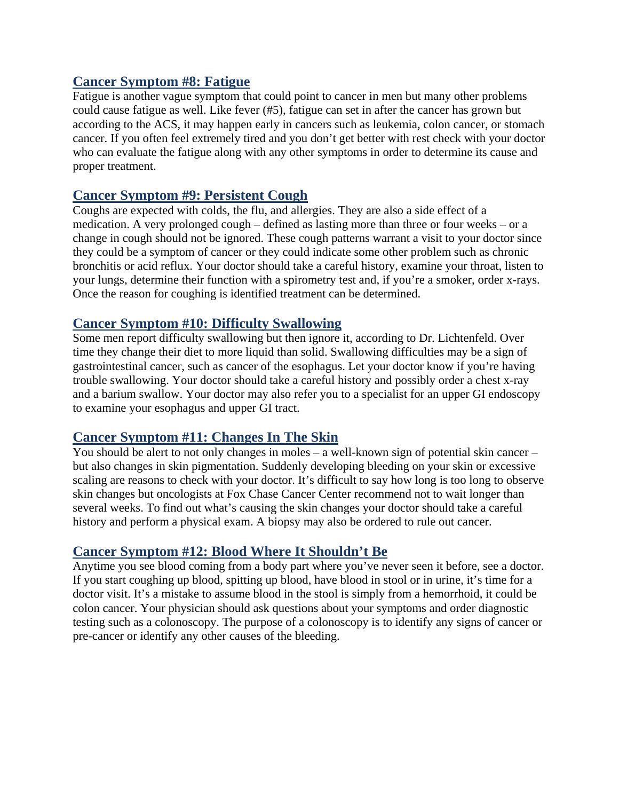#### **Cancer Symptom #8: Fatigue**

Fatigue is another vague symptom that could point to cancer in men but many other problems could cause fatigue as well. Like fever (#5), fatigue can set in after the cancer has grown but according to the ACS, it may happen early in cancers such as leukemia, colon cancer, or stomach cancer. If you often feel extremely tired and you don't get better with rest check with your doctor who can evaluate the fatigue along with any other symptoms in order to determine its cause and proper treatment.

#### **Cancer Symptom #9: Persistent Cough**

Coughs are expected with colds, the flu, and allergies. They are also a side effect of a medication. A very prolonged cough – defined as lasting more than three or four weeks – or a change in cough should not be ignored. These cough patterns warrant a visit to your doctor since they could be a symptom of cancer or they could indicate some other problem such as chronic bronchitis or acid reflux. Your doctor should take a careful history, examine your throat, listen to your lungs, determine their function with a spirometry test and, if you're a smoker, order x-rays. Once the reason for coughing is identified treatment can be determined.

#### **Cancer Symptom #10: Difficulty Swallowing**

Some men report difficulty swallowing but then ignore it, according to Dr. Lichtenfeld. Over time they change their diet to more liquid than solid. Swallowing difficulties may be a sign of gastrointestinal cancer, such as cancer of the esophagus. Let your doctor know if you're having trouble swallowing. Your doctor should take a careful history and possibly order a chest x-ray and a barium swallow. Your doctor may also refer you to a specialist for an upper GI endoscopy to examine your esophagus and upper GI tract.

#### **Cancer Symptom #11: Changes In The Skin**

You should be alert to not only changes in moles – a well-known sign of potential skin cancer – but also changes in skin pigmentation. Suddenly developing bleeding on your skin or excessive scaling are reasons to check with your doctor. It's difficult to say how long is too long to observe skin changes but oncologists at Fox Chase Cancer Center recommend not to wait longer than several weeks. To find out what's causing the skin changes your doctor should take a careful history and perform a physical exam. A biopsy may also be ordered to rule out cancer.

#### **Cancer Symptom #12: Blood Where It Shouldn't Be**

Anytime you see blood coming from a body part where you've never seen it before, see a doctor. If you start coughing up blood, spitting up blood, have blood in stool or in urine, it's time for a doctor visit. It's a mistake to assume blood in the stool is simply from a hemorrhoid, it could be colon cancer. Your physician should ask questions about your symptoms and order diagnostic testing such as a colonoscopy. The purpose of a colonoscopy is to identify any signs of cancer or pre-cancer or identify any other causes of the bleeding.